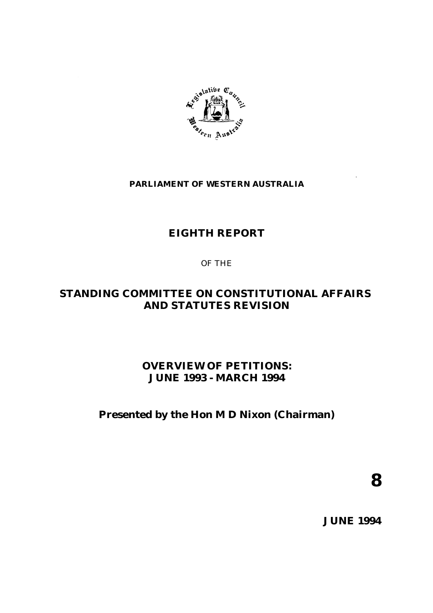

## **PARLIAMENT OF WESTERN AUSTRALIA**

# **EIGHTH REPORT**

## OF THE

# **STANDING COMMITTEE ON CONSTITUTIONAL AFFAIRS AND STATUTES REVISION**

# **OVERVIEW OF PETITIONS: JUNE 1993 - MARCH 1994**

# **Presented by the Hon M D Nixon (Chairman)**

**8**

**JUNE 1994**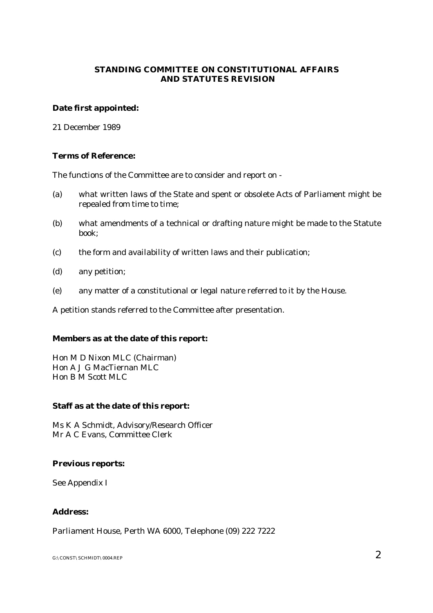## **STANDING COMMITTEE ON CONSTITUTIONAL AFFAIRS AND STATUTES REVISION**

### **Date first appointed:**

21 December 1989

### **Terms of Reference:**

The functions of the Committee are to consider and report on -

- (a) what written laws of the State and spent or obsolete Acts of Parliament might be repealed from time to time;
- (b) what amendments of a technical or drafting nature might be made to the Statute book;
- (c) the form and availability of written laws and their publication;
- (d) any petition;
- (e) any matter of a constitutional or legal nature referred to it by the House.

A petition stands referred to the Committee after presentation.

## **Members as at the date of this report:**

Hon M D Nixon MLC (Chairman) Hon A J G MacTiernan MLC Hon B M Scott MLC

#### **Staff as at the date of this report:**

Ms K A Schmidt, Advisory/Research Officer Mr A C Evans, Committee Clerk

#### **Previous reports:**

See Appendix I

## **Address:**

Parliament House, Perth WA 6000, Telephone (09) 222 7222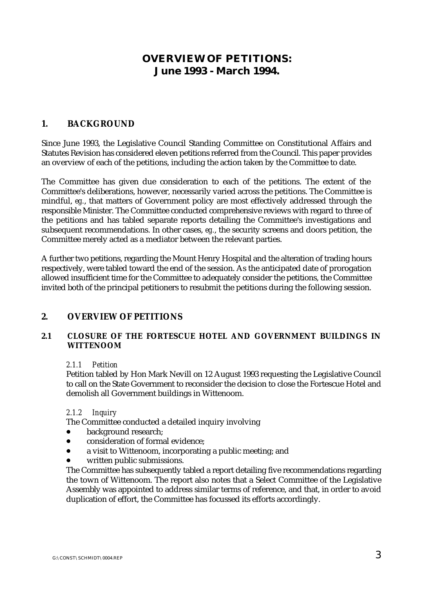# **OVERVIEW OF PETITIONS: June 1993 - March 1994.**

## **1. BACKGROUND**

Since June 1993, the Legislative Council Standing Committee on Constitutional Affairs and Statutes Revision has considered eleven petitions referred from the Council. This paper provides an overview of each of the petitions, including the action taken by the Committee to date.

The Committee has given due consideration to each of the petitions. The extent of the Committee's deliberations, however, necessarily varied across the petitions. The Committee is mindful, *eg.*, that matters of Government policy are most effectively addressed through the responsible Minister. The Committee conducted comprehensive reviews with regard to three of the petitions and has tabled separate reports detailing the Committee's investigations and subsequent recommendations. In other cases, *eg.*, the security screens and doors petition, the Committee merely acted as a mediator between the relevant parties.

A further two petitions, regarding the Mount Henry Hospital and the alteration of trading hours respectively, were tabled toward the end of the session. As the anticipated date of prorogation allowed insufficient time for the Committee to adequately consider the petitions, the Committee invited both of the principal petitioners to resubmit the petitions during the following session.

## **2. OVERVIEW OF PETITIONS**

## **2.1 CLOSURE OF THE FORTESCUE HOTEL AND GOVERNMENT BUILDINGS IN WITTENOOM**

#### *2.1.1 Petition*

Petition tabled by Hon Mark Nevill on 12 August 1993 requesting the Legislative Council to call on the State Government to reconsider the decision to close the Fortescue Hotel and demolish all Government buildings in Wittenoom.

#### *2.1.2 Inquiry*

The Committee conducted a detailed inquiry involving

- $\bullet$ background research;
- $\bullet$ consideration of formal evidence;
- $\bullet$ a visit to Wittenoom, incorporating a public meeting; and
- $\bullet$ written public submissions.

The Committee has subsequently tabled a report detailing five recommendations regarding the town of Wittenoom. The report also notes that a Select Committee of the Legislative Assembly was appointed to address similar terms of reference, and that, in order to avoid duplication of effort, the Committee has focussed its efforts accordingly.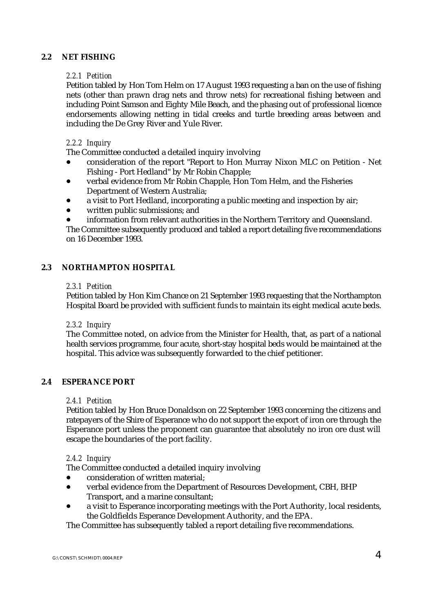## **2.2 NET FISHING**

### *2.2.1 Petition*

Petition tabled by Hon Tom Helm on 17 August 1993 requesting a ban on the use of fishing nets (other than prawn drag nets and throw nets) for recreational fishing between and including Point Samson and Eighty Mile Beach, and the phasing out of professional licence endorsements allowing netting in tidal creeks and turtle breeding areas between and including the De Grey River and Yule River.

## *2.2.2 Inquiry*

The Committee conducted a detailed inquiry involving

- $\bullet$  consideration of the report "Report to Hon Murray Nixon MLC on Petition - Net Fishing - Port Hedland" by Mr Robin Chapple;
- $\bullet$  verbal evidence from Mr Robin Chapple, Hon Tom Helm, and the Fisheries Department of Western Australia;
- $\bullet$ a visit to Port Hedland, incorporating a public meeting and inspection by air;
- $\bullet$ written public submissions; and
- $\bullet$ information from relevant authorities in the Northern Territory and Queensland.

The Committee subsequently produced and tabled a report detailing five recommendations on 16 December 1993.

#### **2.3 NORTHAMPTON HOSPITAL**

#### *2.3.1 Petition*

Petition tabled by Hon Kim Chance on 21 September 1993 requesting that the Northampton Hospital Board be provided with sufficient funds to maintain its eight medical acute beds.

#### *2.3.2 Inquiry*

The Committee noted, on advice from the Minister for Health, that, as part of a national health services programme, four acute, short-stay hospital beds would be maintained at the hospital. This advice was subsequently forwarded to the chief petitioner.

#### **2.4 ESPERANCE PORT**

#### *2.4.1 Petition*

Petition tabled by Hon Bruce Donaldson on 22 September 1993 concerning the citizens and ratepayers of the Shire of Esperance who do not support the export of iron ore through the Esperance port unless the proponent can guarantee that absolutely no iron ore dust will escape the boundaries of the port facility.

#### *2.4.2 Inquiry*

The Committee conducted a detailed inquiry involving

- $\bullet$ consideration of written material;
- $\bullet$  verbal evidence from the Department of Resources Development, CBH, BHP Transport, and a marine consultant;
- $\bullet$  a visit to Esperance incorporating meetings with the Port Authority, local residents, the Goldfields Esperance Development Authority, and the EPA.

The Committee has subsequently tabled a report detailing five recommendations.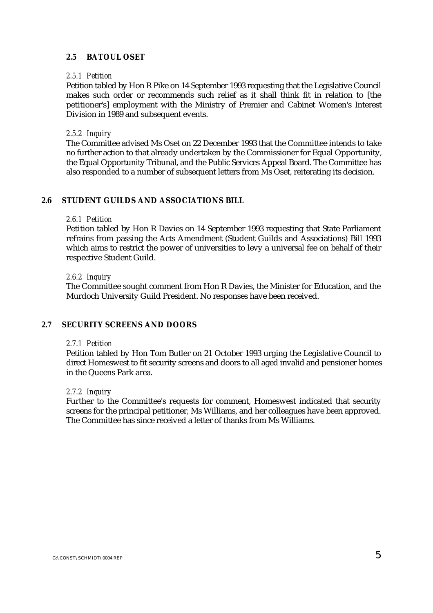## **2.5 BATOUL OSET**

#### *2.5.1 Petition*

Petition tabled by Hon R Pike on 14 September 1993 requesting that the Legislative Council makes such order or recommends such relief as it shall think fit in relation to [the petitioner's] employment with the Ministry of Premier and Cabinet Women's Interest Division in 1989 and subsequent events.

#### *2.5.2 Inquiry*

The Committee advised Ms Oset on 22 December 1993 that the Committee intends to take no further action to that already undertaken by the Commissioner for Equal Opportunity, the Equal Opportunity Tribunal, and the Public Services Appeal Board. The Committee has also responded to a number of subsequent letters from Ms Oset, reiterating its decision.

#### **2.6 STUDENT GUILDS AND ASSOCIATIONS BILL**

#### *2.6.1 Petition*

Petition tabled by Hon R Davies on 14 September 1993 requesting that State Parliament refrains from passing the Acts Amendment (Student Guilds and Associations) Bill 1993 which aims to restrict the power of universities to levy a universal fee on behalf of their respective Student Guild.

#### *2.6.2 Inquiry*

The Committee sought comment from Hon R Davies, the Minister for Education, and the Murdoch University Guild President. No responses have been received.

#### **2.7 SECURITY SCREENS AND DOORS**

#### *2.7.1 Petition*

Petition tabled by Hon Tom Butler on 21 October 1993 urging the Legislative Council to direct Homeswest to fit security screens and doors to all aged invalid and pensioner homes in the Queens Park area.

#### *2.7.2 Inquiry*

Further to the Committee's requests for comment, Homeswest indicated that security screens for the principal petitioner, Ms Williams, and her colleagues have been approved. The Committee has since received a letter of thanks from Ms Williams.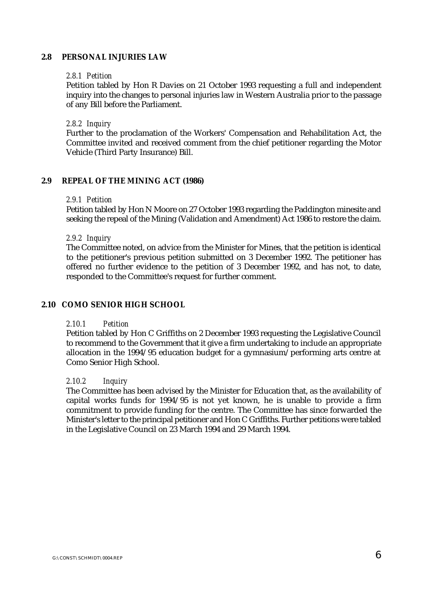#### **2.8 PERSONAL INJURIES LAW**

#### *2.8.1 Petition*

Petition tabled by Hon R Davies on 21 October 1993 requesting a full and independent inquiry into the changes to personal injuries law in Western Australia prior to the passage of any Bill before the Parliament.

#### *2.8.2 Inquiry*

Further to the proclamation of the Workers' Compensation and Rehabilitation Act, the Committee invited and received comment from the chief petitioner regarding the Motor Vehicle (Third Party Insurance) Bill.

#### **2.9 REPEAL OF THE MINING ACT (1986)**

#### *2.9.1 Petition*

Petition tabled by Hon N Moore on 27 October 1993 regarding the Paddington minesite and seeking the repeal of the Mining (Validation and Amendment) Act 1986 to restore the claim.

#### *2.9.2 Inquiry*

The Committee noted, on advice from the Minister for Mines, that the petition is identical to the petitioner's previous petition submitted on 3 December 1992. The petitioner has offered no further evidence to the petition of 3 December 1992, and has not, to date, responded to the Committee's request for further comment.

#### **2.10 COMO SENIOR HIGH SCHOOL**

#### *2.10.1 Petition*

Petition tabled by Hon C Griffiths on 2 December 1993 requesting the Legislative Council to recommend to the Government that it give a firm undertaking to include an appropriate allocation in the 1994/95 education budget for a gymnasium/performing arts centre at Como Senior High School.

#### *2.10.2 Inquiry*

The Committee has been advised by the Minister for Education that, as the availability of capital works funds for 1994/95 is not yet known, he is unable to provide a firm commitment to provide funding for the centre. The Committee has since forwarded the Minister's letter to the principal petitioner and Hon C Griffiths. Further petitions were tabled in the Legislative Council on 23 March 1994 and 29 March 1994.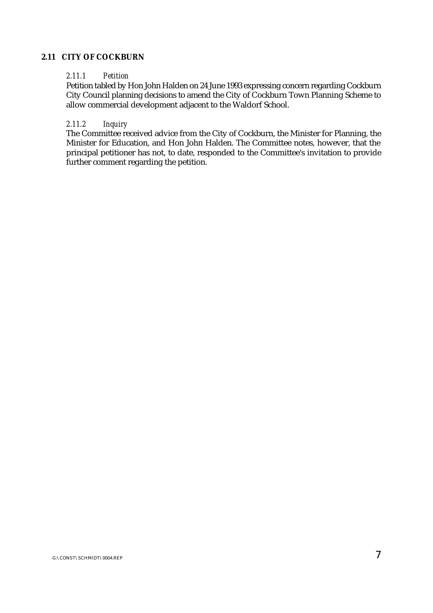## **2.11 CITY OF COCKBURN**

#### *2.11.1 Petition*

Petition tabled by Hon John Halden on 24 June 1993 expressing concern regarding Cockburn City Council planning decisions to amend the City of Cockburn Town Planning Scheme to allow commercial development adjacent to the Waldorf School.

## *2.11.2 Inquiry*

The Committee received advice from the City of Cockburn, the Minister for Planning, the Minister for Education, and Hon John Halden. The Committee notes, however, that the principal petitioner has not, to date, responded to the Committee's invitation to provide further comment regarding the petition.